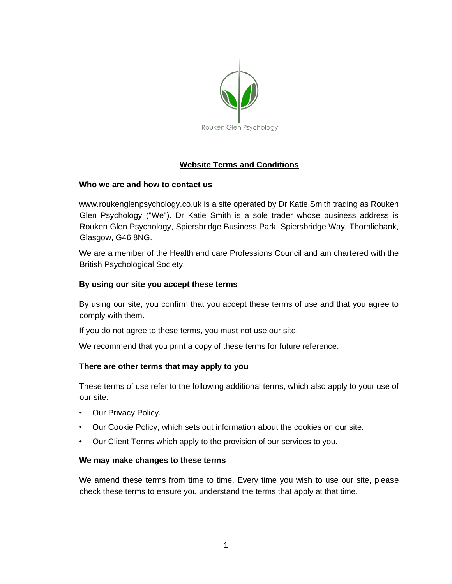

# **Website Terms and Conditions**

# **Who we are and how to contact us**

www.roukenglenpsychology.co.uk is a site operated by Dr Katie Smith trading as Rouken Glen Psychology ("We"). Dr Katie Smith is a sole trader whose business address is Rouken Glen Psychology, Spiersbridge Business Park, Spiersbridge Way, Thornliebank, Glasgow, G46 8NG.

We are a member of the Health and care Professions Council and am chartered with the British Psychological Society.

# **By using our site you accept these terms**

By using our site, you confirm that you accept these terms of use and that you agree to comply with them.

If you do not agree to these terms, you must not use our site.

We recommend that you print a copy of these terms for future reference.

# **There are other terms that may apply to you**

These terms of use refer to the following additional terms, which also apply to your use of our site:

- Our Privacy Policy.
- Our Cookie Policy, which sets out information about the cookies on our site.
- Our Client Terms which apply to the provision of our services to you.

#### **We may make changes to these terms**

We amend these terms from time to time. Every time you wish to use our site, please check these terms to ensure you understand the terms that apply at that time.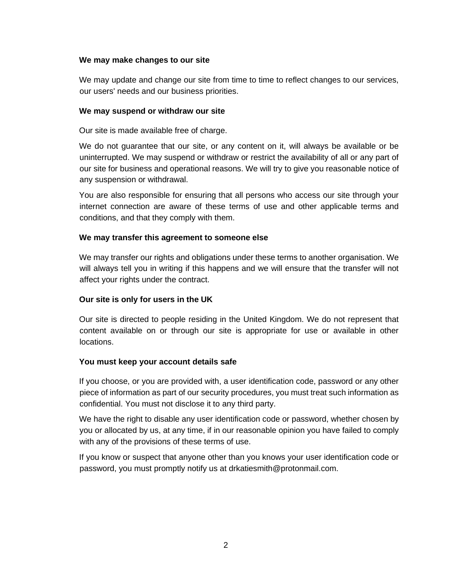#### **We may make changes to our site**

We may update and change our site from time to time to reflect changes to our services, our users' needs and our business priorities.

#### **We may suspend or withdraw our site**

Our site is made available free of charge.

We do not guarantee that our site, or any content on it, will always be available or be uninterrupted. We may suspend or withdraw or restrict the availability of all or any part of our site for business and operational reasons. We will try to give you reasonable notice of any suspension or withdrawal.

You are also responsible for ensuring that all persons who access our site through your internet connection are aware of these terms of use and other applicable terms and conditions, and that they comply with them.

# **We may transfer this agreement to someone else**

We may transfer our rights and obligations under these terms to another organisation. We will always tell you in writing if this happens and we will ensure that the transfer will not affect your rights under the contract.

# **Our site is only for users in the UK**

Our site is directed to people residing in the United Kingdom. We do not represent that content available on or through our site is appropriate for use or available in other locations.

# **You must keep your account details safe**

If you choose, or you are provided with, a user identification code, password or any other piece of information as part of our security procedures, you must treat such information as confidential. You must not disclose it to any third party.

We have the right to disable any user identification code or password, whether chosen by you or allocated by us, at any time, if in our reasonable opinion you have failed to comply with any of the provisions of these terms of use.

If you know or suspect that anyone other than you knows your user identification code or password, you must promptly notify us at drkatiesmith@protonmail.com.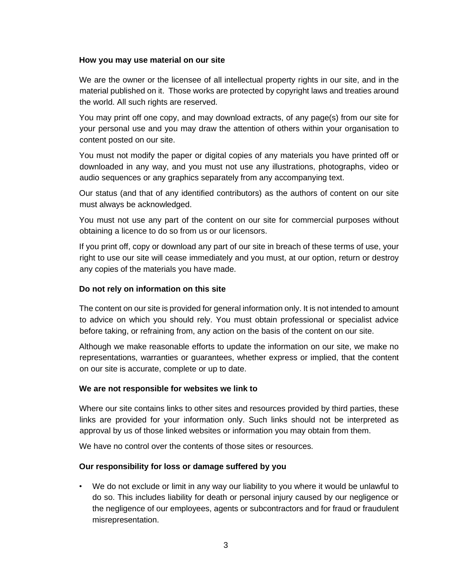#### **How you may use material on our site**

We are the owner or the licensee of all intellectual property rights in our site, and in the material published on it. Those works are protected by copyright laws and treaties around the world. All such rights are reserved.

You may print off one copy, and may download extracts, of any page(s) from our site for your personal use and you may draw the attention of others within your organisation to content posted on our site.

You must not modify the paper or digital copies of any materials you have printed off or downloaded in any way, and you must not use any illustrations, photographs, video or audio sequences or any graphics separately from any accompanying text.

Our status (and that of any identified contributors) as the authors of content on our site must always be acknowledged.

You must not use any part of the content on our site for commercial purposes without obtaining a licence to do so from us or our licensors.

If you print off, copy or download any part of our site in breach of these terms of use, your right to use our site will cease immediately and you must, at our option, return or destroy any copies of the materials you have made.

#### **Do not rely on information on this site**

The content on our site is provided for general information only. It is not intended to amount to advice on which you should rely. You must obtain professional or specialist advice before taking, or refraining from, any action on the basis of the content on our site.

Although we make reasonable efforts to update the information on our site, we make no representations, warranties or guarantees, whether express or implied, that the content on our site is accurate, complete or up to date.

#### **We are not responsible for websites we link to**

Where our site contains links to other sites and resources provided by third parties, these links are provided for your information only. Such links should not be interpreted as approval by us of those linked websites or information you may obtain from them.

We have no control over the contents of those sites or resources.

#### **Our responsibility for loss or damage suffered by you**

• We do not exclude or limit in any way our liability to you where it would be unlawful to do so. This includes liability for death or personal injury caused by our negligence or the negligence of our employees, agents or subcontractors and for fraud or fraudulent misrepresentation.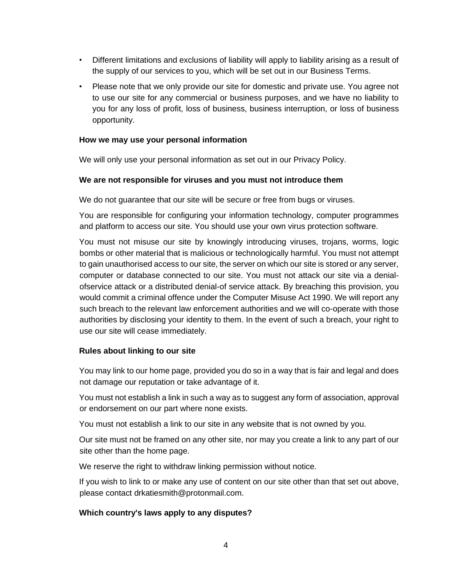- Different limitations and exclusions of liability will apply to liability arising as a result of the supply of our services to you, which will be set out in our Business Terms.
- Please note that we only provide our site for domestic and private use. You agree not to use our site for any commercial or business purposes, and we have no liability to you for any loss of profit, loss of business, business interruption, or loss of business opportunity.

#### **How we may use your personal information**

We will only use your personal information as set out in our Privacy Policy.

# **We are not responsible for viruses and you must not introduce them**

We do not guarantee that our site will be secure or free from bugs or viruses.

You are responsible for configuring your information technology, computer programmes and platform to access our site. You should use your own virus protection software.

You must not misuse our site by knowingly introducing viruses, trojans, worms, logic bombs or other material that is malicious or technologically harmful. You must not attempt to gain unauthorised access to our site, the server on which our site is stored or any server, computer or database connected to our site. You must not attack our site via a denialofservice attack or a distributed denial-of service attack. By breaching this provision, you would commit a criminal offence under the Computer Misuse Act 1990. We will report any such breach to the relevant law enforcement authorities and we will co-operate with those authorities by disclosing your identity to them. In the event of such a breach, your right to use our site will cease immediately.

# **Rules about linking to our site**

You may link to our home page, provided you do so in a way that is fair and legal and does not damage our reputation or take advantage of it.

You must not establish a link in such a way as to suggest any form of association, approval or endorsement on our part where none exists.

You must not establish a link to our site in any website that is not owned by you.

Our site must not be framed on any other site, nor may you create a link to any part of our site other than the home page.

We reserve the right to withdraw linking permission without notice.

If you wish to link to or make any use of content on our site other than that set out above, please contact drkatiesmith@protonmail.com.

# **Which country's laws apply to any disputes?**